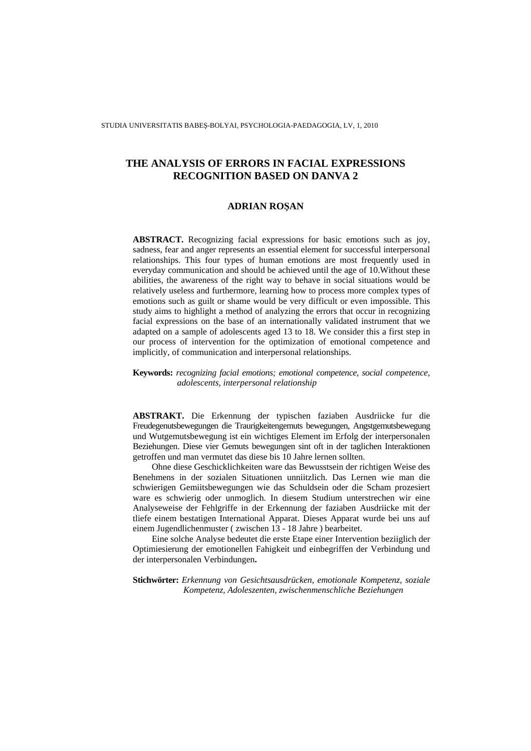STUDIA UNIVERSITATIS BABEŞ-BOLYAI, PSYCHOLOGIA-PAEDAGOGIA, LV, 1, 2010

# **THE ANALYSIS OF ERRORS IN FACIAL EXPRESSIONS RECOGNITION BASED ON DANVA 2**

### **ADRIAN RO**Ş**AN**

**ABSTRACT.** Recognizing facial expressions for basic emotions such as joy, sadness, fear and anger represents an essential element for successful interpersonal relationships. This four types of human emotions are most frequently used in everyday communication and should be achieved until the age of 10.Without these abilities, the awareness of the right way to behave in social situations would be relatively useless and furthermore, learning how to process more complex types of emotions such as guilt or shame would be very difficult or even impossible. This study aims to highlight a method of analyzing the errors that occur in recognizing facial expressions on the base of an internationally validated instrument that we adapted on a sample of adolescents aged 13 to 18. We consider this a first step in our process of intervention for the optimization of emotional competence and implicitly, of communication and interpersonal relationships.

**Keywords:** *recognizing facial emotions; emotional competence, social competence, adolescents, interpersonal relationship* 

**ABSTRAKT.** Die Erkennung der typischen faziaben Ausdriicke fur die Freudegenutsbewegungen die Traurigkeitengemuts bewegungen, Angstgemutsbewegung und Wutgemutsbewegung ist ein wichtiges Element im Erfolg der interpersonalen Beziehungen. Diese vier Gemuts bewegungen sint oft in der taglichen Interaktionen getroffen und man vermutet das diese bis 10 Jahre lernen sollten.

Ohne diese Geschicklichkeiten ware das Bewusstsein der richtigen Weise des Benehmens in der sozialen Situationen unniitzlich. Das Lernen wie man die schwierigen Gemiitsbewegungen wie das Schuldsein oder die Scham prozesiert ware es schwierig oder unmoglich. In diesem Studium unterstrechen wir eine Analyseweise der Fehlgriffe in der Erkennung der faziaben Ausdriicke mit der tliefe einem bestatigen International Apparat. Dieses Apparat wurde bei uns auf einem Jugendlichenmuster ( zwischen 13 - 18 Jahre ) bearbeitet.

Eine solche Analyse bedeutet die erste Etape einer Intervention beziiglich der Optimiesierung der emotionellen Fahigkeit und einbegriffen der Verbindung und der interpersonalen Verbindungen**.** 

**Stichwörter:** *Erkennung von Gesichtsausdrücken, emotionale Kompetenz, soziale Kompetenz, Adoleszenten, zwischenmenschliche Beziehungen*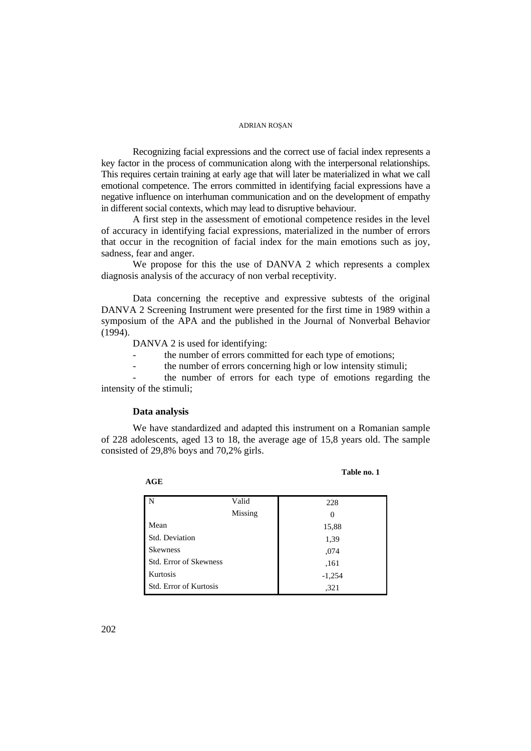Recognizing facial expressions and the correct use of facial index represents a key factor in the process of communication along with the interpersonal relationships. This requires certain training at early age that will later be materialized in what we call emotional competence. The errors committed in identifying facial expressions have a negative influence on interhuman communication and on the development of empathy in different social contexts, which may lead to disruptive behaviour.

A first step in the assessment of emotional competence resides in the level of accuracy in identifying facial expressions, materialized in the number of errors that occur in the recognition of facial index for the main emotions such as joy, sadness, fear and anger.

We propose for this the use of DANVA 2 which represents a complex diagnosis analysis of the accuracy of non verbal receptivity.

Data concerning the receptive and expressive subtests of the original DANVA 2 Screening Instrument were presented for the first time in 1989 within a symposium of the APA and the published in the Journal of Nonverbal Behavior (1994).

DANVA 2 is used for identifying:

- the number of errors committed for each type of emotions;
- the number of errors concerning high or low intensity stimuli;

the number of errors for each type of emotions regarding the intensity of the stimuli;

#### **Data analysis**

We have standardized and adapted this instrument on a Romanian sample of 228 adolescents, aged 13 to 18, the average age of 15,8 years old. The sample consisted of 29,8% boys and 70,2% girls.

| w |  |
|---|--|
|   |  |

| Table no. 1 |  |
|-------------|--|
|-------------|--|

| N                             | Valid   | 228      |
|-------------------------------|---------|----------|
|                               | Missing | $\theta$ |
| Mean                          |         | 15,88    |
| Std. Deviation                |         | 1,39     |
| <b>Skewness</b>               |         | ,074     |
| <b>Std. Error of Skewness</b> |         | ,161     |
| Kurtosis                      |         | $-1,254$ |
| <b>Std. Error of Kurtosis</b> |         | .321     |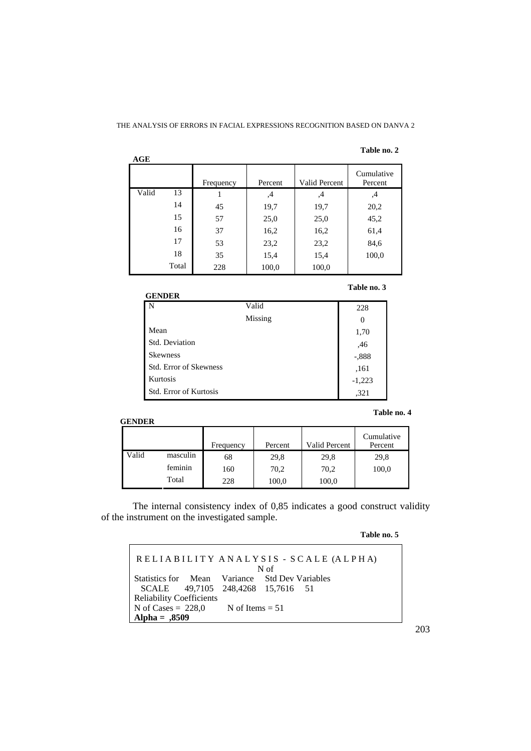#### **Table no. 2**

| AGE   |       |           |         |               |                       |
|-------|-------|-----------|---------|---------------|-----------------------|
|       |       | Frequency | Percent | Valid Percent | Cumulative<br>Percent |
| Valid | 13    |           | 4,      | ,4            | ,4                    |
|       | 14    | 45        | 19,7    | 19,7          | 20,2                  |
|       | 15    | 57        | 25,0    | 25,0          | 45,2                  |
|       | 16    | 37        | 16,2    | 16,2          | 61,4                  |
|       | 17    | 53        | 23,2    | 23,2          | 84,6                  |
|       | 18    | 35        | 15,4    | 15,4          | 100,0                 |
|       | Total | 228       | 100,0   | 100,0         |                       |

**Table no. 3** 

| <b>GENDER</b>                 |         |          |
|-------------------------------|---------|----------|
| $\overline{\mathbf{N}}$       | Valid   | 228      |
|                               | Missing | $\theta$ |
| Mean                          |         | 1,70     |
| Std. Deviation                |         | ,46      |
| <b>Skewness</b>               |         | $-.888$  |
| <b>Std. Error of Skewness</b> |         | ,161     |
| Kurtosis                      |         | $-1,223$ |
| <b>Std. Error of Kurtosis</b> |         | ,321     |

### **GENDER**

|       |          | Frequency | Percent | <b>Valid Percent</b> | Cumulative<br>Percent |
|-------|----------|-----------|---------|----------------------|-----------------------|
| Valid | masculin | 68        | 29,8    | 29,8                 | 29,8                  |
|       | feminin  | 160       | 70,2    | 70,2                 | 100,0                 |
|       | Total    | 228       | 100,0   | 100,0                |                       |

The internal consistency index of 0,85 indicates a good construct validity of the instrument on the investigated sample.

**Table no. 5** 

**Table no. 4** 

| RELIABILITY ANALYSIS - SCALE (ALPHA)<br>N <sub>of</sub> |  |  |  |  |  |  |  |
|---------------------------------------------------------|--|--|--|--|--|--|--|
| Statistics for Mean Variance Std Dev Variables          |  |  |  |  |  |  |  |
| SCALE 49,7105 248,4268 15,7616 51                       |  |  |  |  |  |  |  |
| <b>Reliability Coefficients</b>                         |  |  |  |  |  |  |  |
| N of Cases = $228,0$ N of Items = 51                    |  |  |  |  |  |  |  |
| Alpha = $,8509$                                         |  |  |  |  |  |  |  |

203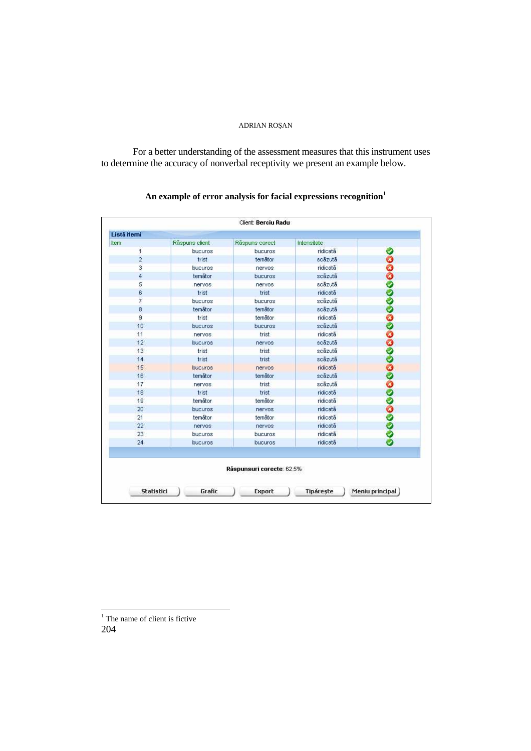For a better understanding of the assessment measures that this instrument uses to determine the accuracy of nonverbal receptivity we present an example below.

# **An example of error analysis for facial expressions recognition<sup>1</sup>**

| ttem           | Räspuns client | Räspuns corect            | Intensitate |  |
|----------------|----------------|---------------------------|-------------|--|
| 1              | bucuros        | bucuros                   | ridicată    |  |
| $\overline{2}$ | trist          | temåtor                   | scäzutä     |  |
| 3              | bucuros        | nervos.                   | ridicată    |  |
| 4              | temätor        | bucuros                   | scäzutä     |  |
| 5              | nervos.        | nervos.                   | scäzutä     |  |
| 6              | trist          | trist                     | ridicată    |  |
| 7              | bucuros        | bucuros                   | scăzută     |  |
| $\overline{8}$ | temätor        | temätor                   | scäzutä     |  |
| $\overline{a}$ | trist          | temåtor                   | ridicată    |  |
| 10             | bucuros        | bucuros                   | scäzutä     |  |
| 11             | nervos         | trist                     | ridicată    |  |
| 12             | bucuros        | nervos                    | scäzutä     |  |
| 13             | trist          | trist                     | scäzutä     |  |
| 14             | trist          | trist                     | scäzutä     |  |
| 15             | bucuros        | nervos:                   | ridicată    |  |
| 16             | temätor        | temåtor                   | scäzutä     |  |
| 17             | nervos.        | trist                     | scăzută     |  |
| 18             | trist          | trist                     | ridicată    |  |
| 19             | temåtor        | temåtor                   | ridicată    |  |
| 20             | bucuros        | nervos                    | ridicată    |  |
| 21             | temåtor        | temåtor                   | ridicată    |  |
| 22             | nervos         | nervos                    | ridicată    |  |
| 23             | bucuros        | bucuros                   | ridicată    |  |
| 24             | bucuros        | bucuros                   | ridicată    |  |
|                |                | Räspunsuri corecte: 62.5% |             |  |

<sup>&</sup>lt;sup>1</sup> The name of client is fictive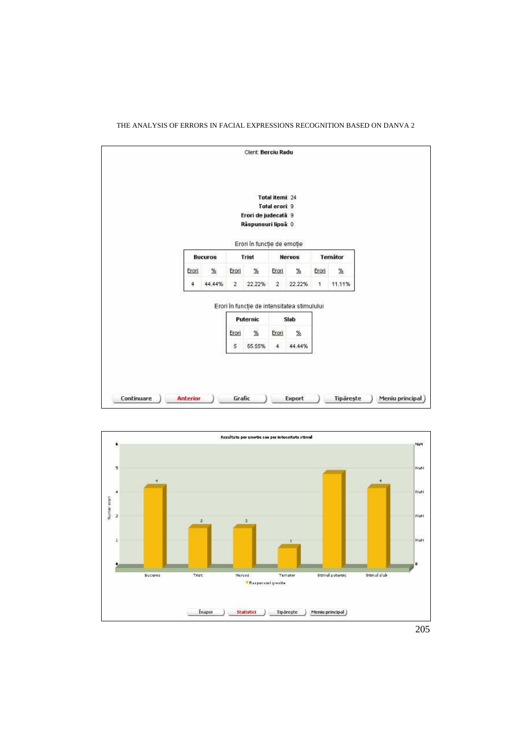



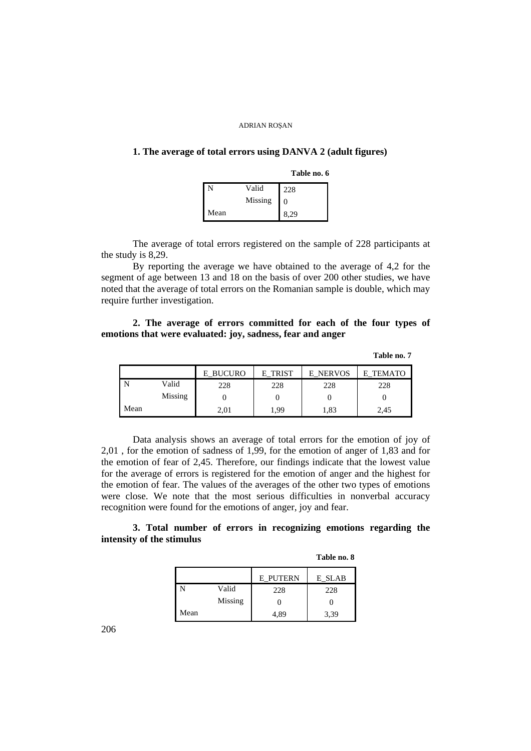# **1. The average of total errors using DANVA 2 (adult figures)**

**Table no. 6** 

|      | Valid   | 228      |
|------|---------|----------|
|      | Missing | $\Omega$ |
| Mean |         | 8.29     |

The average of total errors registered on the sample of 228 participants at the study is 8,29.

By reporting the average we have obtained to the average of 4,2 for the segment of age between 13 and 18 on the basis of over 200 other studies, we have noted that the average of total errors on the Romanian sample is double, which may require further investigation.

### **2. The average of errors committed for each of the four types of emotions that were evaluated: joy, sadness, fear and anger**

**Table no. 7** 

|      |         | E BUCURO | TRIST<br>F. | <b>E NERVOS</b> | <b>TEMATO</b><br>F. |
|------|---------|----------|-------------|-----------------|---------------------|
|      | Valid   | 228      | 228         | 228             | 228                 |
|      | Missing |          |             |                 |                     |
| Mean |         | 2,01     | 1,99        | 1,83            | 2,45                |

Data analysis shows an average of total errors for the emotion of joy of 2,01 , for the emotion of sadness of 1,99, for the emotion of anger of 1,83 and for the emotion of fear of 2,45. Therefore, our findings indicate that the lowest value for the average of errors is registered for the emotion of anger and the highest for the emotion of fear. The values of the averages of the other two types of emotions were close. We note that the most serious difficulties in nonverbal accuracy recognition were found for the emotions of anger, joy and fear.

### **3. Total number of errors in recognizing emotions regarding the intensity of the stimulus**

**Table no. 8** 

|      |         | <b>E PUTERN</b> | E SLAB |
|------|---------|-----------------|--------|
|      | Valid   | 228             | 228    |
|      | Missing |                 |        |
| Mean |         | 4.89            | 3.39   |

206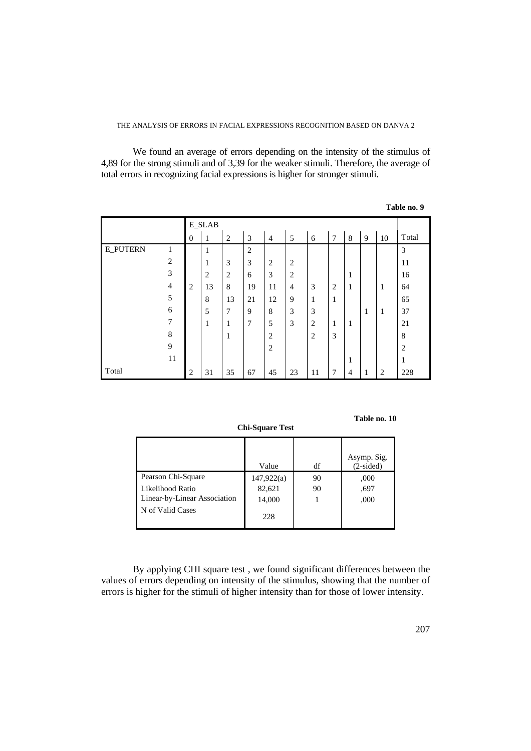We found an average of errors depending on the intensity of the stimulus of 4,89 for the strong stimuli and of 3,39 for the weaker stimuli. Therefore, the average of total errors in recognizing facial expressions is higher for stronger stimuli.

|                 |                |                  | <b>E_SLAB</b>  |                |              |                |                |                |                |                |              |                |                |
|-----------------|----------------|------------------|----------------|----------------|--------------|----------------|----------------|----------------|----------------|----------------|--------------|----------------|----------------|
|                 |                | $\boldsymbol{0}$ | 1              | $\overline{2}$ | 3            | $\overline{4}$ | 5              | 6              | 7              | 8              | 9            | 10             | Total          |
| <b>E_PUTERN</b> | 1              |                  | $\mathbf{1}$   |                | $\mathbf{2}$ |                |                |                |                |                |              |                | $\mathfrak{Z}$ |
|                 | $\overline{2}$ |                  | 1              | 3              | 3            | $\overline{2}$ | $\overline{2}$ |                |                |                |              |                | 11             |
|                 | $\mathfrak{Z}$ |                  | $\overline{2}$ | $\overline{2}$ | 6            | 3              | $\overline{2}$ |                |                | 1              |              |                | 16             |
|                 | $\overline{4}$ | $\overline{2}$   | 13             | 8              | 19           | 11             | $\overline{4}$ | 3              | $\overline{2}$ | 1              |              | $\mathbf{1}$   | 64             |
|                 | $\sqrt{5}$     |                  | $\,8\,$        | 13             | 21           | 12             | 9              | $\mathbf{1}$   | 1              |                |              |                | 65             |
|                 | 6              |                  | 5              | $\overline{7}$ | 9            | $8\,$          | 3              | 3              |                |                | $\mathbf{1}$ | $\mathbf{1}$   | 37             |
|                 | 7              |                  | 1              | $\mathbf{1}$   | 7            | 5              | 3              | $\overline{2}$ | 1              | 1              |              |                | 21             |
|                 | $\,$ 8 $\,$    |                  |                | $\mathbf{1}$   |              | $\overline{2}$ |                | $\overline{2}$ | 3              |                |              |                | $\,8\,$        |
|                 | 9              |                  |                |                |              | $\overline{2}$ |                |                |                |                |              |                | $\overline{2}$ |
|                 | 11             |                  |                |                |              |                |                |                |                | 1              |              |                | 1              |
| Total           |                | 2                | 31             | 35             | 67           | 45             | 23             | 11             | 7              | $\overline{4}$ | 1            | $\overline{2}$ | 228            |

**Table no. 9** 

**Table no. 10** 

|                              | Value      | df | Asymp. Sig.<br>$(2-sided)$ |
|------------------------------|------------|----|----------------------------|
| Pearson Chi-Square           | 147,922(a) | 90 | ,000                       |
| Likelihood Ratio             | 82,621     | 90 | .697                       |
| Linear-by-Linear Association | 14,000     |    | ,000                       |
| N of Valid Cases             | 228        |    |                            |

**Chi-Square Test** 

By applying CHI square test , we found significant differences between the values of errors depending on intensity of the stimulus, showing that the number of errors is higher for the stimuli of higher intensity than for those of lower intensity.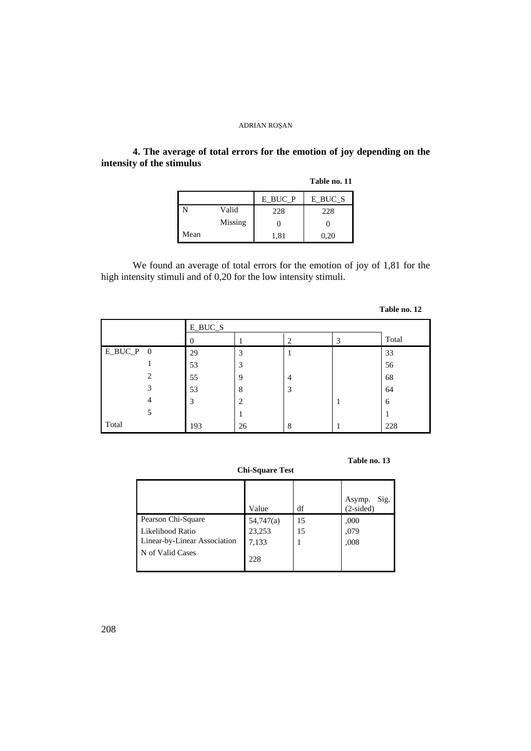# **4. The average of total errors for the emotion of joy depending on the intensity of the stimulus**

|      |         |         | Table no. 11 |
|------|---------|---------|--------------|
|      |         | E_BUC_P | E BUC S      |
|      | Valid   | 228     | 228          |
|      | Missing |         |              |
| Mean |         | 1,81    | 0,20         |

We found an average of total errors for the emotion of joy of 1,81 for the high intensity stimuli and of 0,20 for the low intensity stimuli.

|             |         |    |   |   | Table no. 12 |
|-------------|---------|----|---|---|--------------|
|             | E_BUC_S |    |   |   |              |
|             |         |    | 2 | 3 | Total        |
| $E_BUC_P$ 0 | 29      | 3  | T |   | 33           |
|             | 53      | 3  |   |   | 56           |
| 2           | 55      | 9  | 4 |   | 68           |
| 3           | 53      | 8  | 3 |   | 64           |
| 4           | 3       | 2  |   |   | 6            |
| 5           |         |    |   |   |              |
| Total       | 193     | 26 | 8 |   | 228          |

**Table no. 13** 

### **Chi-Square Test**

|                              | Value     | df | Sig.<br>Asymp.<br>$(2-sided)$ |
|------------------------------|-----------|----|-------------------------------|
| Pearson Chi-Square           | 54,747(a) | 15 | ,000                          |
| Likelihood Ratio             | 23,253    | 15 | ,079                          |
| Linear-by-Linear Association | 7,133     |    | ,008                          |
| N of Valid Cases             | 228       |    |                               |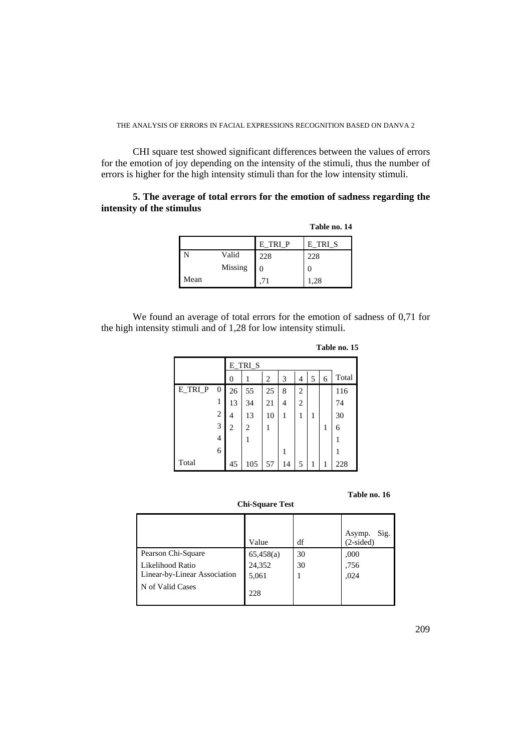CHI square test showed significant differences between the values of errors for the emotion of joy depending on the intensity of the stimuli, thus the number of errors is higher for the high intensity stimuli than for the low intensity stimuli.

# **5. The average of total errors for the emotion of sadness regarding the intensity of the stimulus**

| Table no. 14 |  |
|--------------|--|
|--------------|--|

|      |         | E TRI P | E_TRI_S |
|------|---------|---------|---------|
|      | Valid   | 228     | 228     |
|      | Missing | 0       |         |
| Mean |         |         | 1,28    |

We found an average of total errors for the emotion of sadness of 0,71 for the high intensity stimuli and of 1,28 for low intensity stimuli.

|         |                |                  | E_TRI_S |    |    |                |   |   |       |
|---------|----------------|------------------|---------|----|----|----------------|---|---|-------|
|         |                | $\boldsymbol{0}$ | 1       | 2  | 3  | 4              | 5 | 6 | Total |
| E_TRI_P | 0              | 26               | 55      | 25 | 8  | $\overline{2}$ |   |   | 116   |
|         | 1              | 13               | 34      | 21 | 4  | 2              |   |   | 74    |
|         | 2              | 4                | 13      | 10 | 1  | 1              | 1 |   | 30    |
|         | 3              | 2                | 2       |    |    |                |   | 1 | 6     |
|         | $\overline{4}$ |                  | 1       |    |    |                |   |   | 1     |
|         | 6              |                  |         |    | 1  |                |   |   | 1     |
| Total   |                | 45               | 105     | 57 | 14 | 5              | 1 | 1 | 228   |

**Table no. 15** 

**Table no. 16** 

|                              | Value     | df | Sig.<br>Asymp.<br>$(2-sided)$ |
|------------------------------|-----------|----|-------------------------------|
| Pearson Chi-Square           | 65,458(a) | 30 | ,000                          |
| Likelihood Ratio             | 24,352    | 30 | .756                          |
| Linear-by-Linear Association | 5,061     |    | ,024                          |
| N of Valid Cases             | 228       |    |                               |

**Chi-Square Test**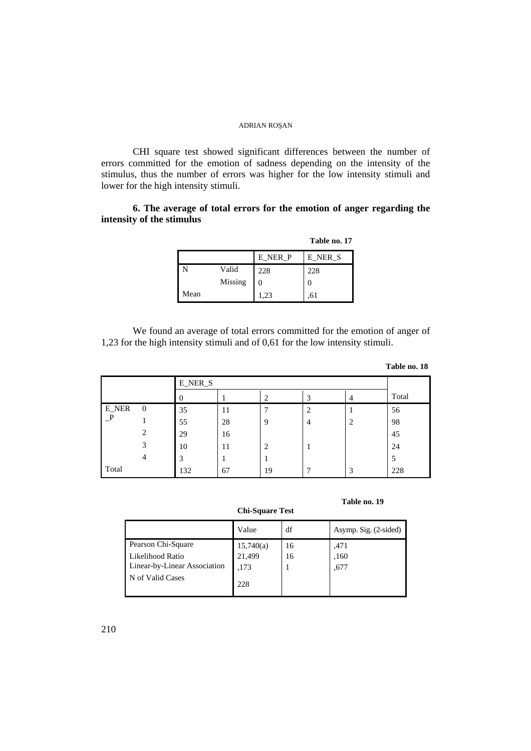CHI square test showed significant differences between the number of errors committed for the emotion of sadness depending on the intensity of the stimulus, thus the number of errors was higher for the low intensity stimuli and lower for the high intensity stimuli.

# **6. The average of total errors for the emotion of anger regarding the intensity of the stimulus**

|      |         |         | Table no. 17 |
|------|---------|---------|--------------|
|      |         | E_NER_P | E NER S      |
|      | Valid   | 228     | 228          |
|      | Missing |         |              |
| Mean |         | 1,23    |              |

We found an average of total errors committed for the emotion of anger of 1,23 for the high intensity stimuli and of 0,61 for the low intensity stimuli.

| Table no. 18 |  |  |
|--------------|--|--|
|--------------|--|--|

**Table no. 19** 

|       |          | <b>E_NER_S</b> |    |                |   |   |       |
|-------|----------|----------------|----|----------------|---|---|-------|
|       |          | U              |    | 2              | 3 |   | Total |
| E_NER | $\theta$ | 35             | 11 | 7              | 2 |   | 56    |
|       |          | 55             | 28 | 9              | 4 | ി | 98    |
|       | 2        | 29             | 16 |                |   |   | 45    |
|       | 3        | 10             | 11 | $\overline{c}$ |   |   | 24    |
|       | 4        | 3              |    |                |   |   | 5     |
| Total |          | 132            | 67 | 19             |   | 3 | 228   |

**Chi-Square Test** 

|                              | Value     | df | Asymp. Sig. $(2\t{-sided})$ |
|------------------------------|-----------|----|-----------------------------|
| Pearson Chi-Square           | 15,740(a) | 16 | .471                        |
| Likelihood Ratio             | 21,499    | 16 | ,160                        |
| Linear-by-Linear Association | .173      |    | .677                        |
| N of Valid Cases             | 228       |    |                             |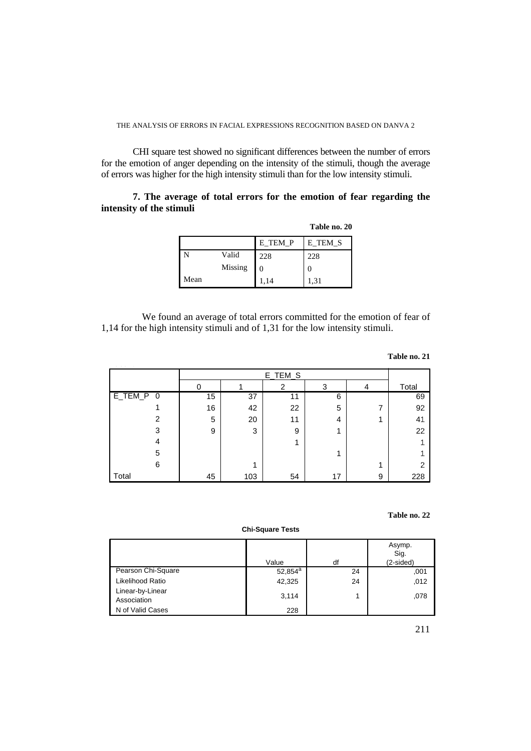CHI square test showed no significant differences between the number of errors for the emotion of anger depending on the intensity of the stimuli, though the average of errors was higher for the high intensity stimuli than for the low intensity stimuli.

# **7. The average of total errors for the emotion of fear regarding the intensity of the stimuli**

|      |         |         | Table no. 20 |
|------|---------|---------|--------------|
|      |         | E TEM P | E TEM S      |
|      | Valid   | 228     | 228          |
|      | Missing |         | $\theta$     |
| Mean |         | 1,14    | 1,31         |

 We found an average of total errors committed for the emotion of fear of 1,14 for the high intensity stimuli and of 1,31 for the low intensity stimuli.

#### **Table no. 21**

|                                                   | E_TEM_S |     |    |    |   |                |
|---------------------------------------------------|---------|-----|----|----|---|----------------|
|                                                   |         |     | 2  | 3  | 4 | Total          |
| $E$ <sub>_</sub> TEM_P<br>$\overline{\mathbf{0}}$ | 15      | 37  | 11 | 6  |   | 69             |
|                                                   | 16      | 42  | 22 | 5  | 7 | 92             |
| 2                                                 | 5       | 20  | 11 | 4  |   | 4 <sup>1</sup> |
| 3                                                 | 9       | 3   | 9  |    |   | 22             |
| 4                                                 |         |     | 4  |    |   |                |
| 5                                                 |         |     |    |    |   |                |
| 6                                                 |         | 4   |    |    | и | 2              |
| Total                                             | 45      | 103 | 54 | 17 | 9 | 228            |

### **Table no. 22**

#### **Chi-Square Tests**

|                                 | Value      | df | Asymp.<br>Sig.<br>(2-sided) |
|---------------------------------|------------|----|-----------------------------|
| Pearson Chi-Square              | $52,854^a$ | 24 | ,001                        |
| Likelihood Ratio                | 42,325     | 24 | ,012                        |
| Linear-by-Linear<br>Association | 3,114      |    | ,078                        |
| N of Valid Cases                | 228        |    |                             |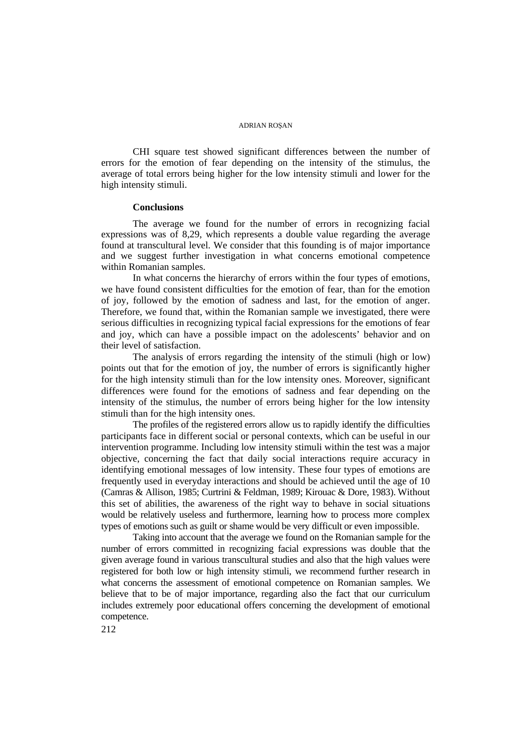CHI square test showed significant differences between the number of errors for the emotion of fear depending on the intensity of the stimulus, the average of total errors being higher for the low intensity stimuli and lower for the high intensity stimuli.

### **Conclusions**

The average we found for the number of errors in recognizing facial expressions was of 8,29, which represents a double value regarding the average found at transcultural level. We consider that this founding is of major importance and we suggest further investigation in what concerns emotional competence within Romanian samples.

In what concerns the hierarchy of errors within the four types of emotions, we have found consistent difficulties for the emotion of fear, than for the emotion of joy, followed by the emotion of sadness and last, for the emotion of anger. Therefore, we found that, within the Romanian sample we investigated, there were serious difficulties in recognizing typical facial expressions for the emotions of fear and joy, which can have a possible impact on the adolescents' behavior and on their level of satisfaction.

The analysis of errors regarding the intensity of the stimuli (high or low) points out that for the emotion of joy, the number of errors is significantly higher for the high intensity stimuli than for the low intensity ones. Moreover, significant differences were found for the emotions of sadness and fear depending on the intensity of the stimulus, the number of errors being higher for the low intensity stimuli than for the high intensity ones.

The profiles of the registered errors allow us to rapidly identify the difficulties participants face in different social or personal contexts, which can be useful in our intervention programme. Including low intensity stimuli within the test was a major objective, concerning the fact that daily social interactions require accuracy in identifying emotional messages of low intensity. These four types of emotions are frequently used in everyday interactions and should be achieved until the age of 10 (Camras & Allison, 1985; Curtrini & Feldman, 1989; Kirouac & Dore, 1983). Without this set of abilities, the awareness of the right way to behave in social situations would be relatively useless and furthermore, learning how to process more complex types of emotions such as guilt or shame would be very difficult or even impossible.

Taking into account that the average we found on the Romanian sample for the number of errors committed in recognizing facial expressions was double that the given average found in various transcultural studies and also that the high values were registered for both low or high intensity stimuli, we recommend further research in what concerns the assessment of emotional competence on Romanian samples. We believe that to be of major importance, regarding also the fact that our curriculum includes extremely poor educational offers concerning the development of emotional competence.